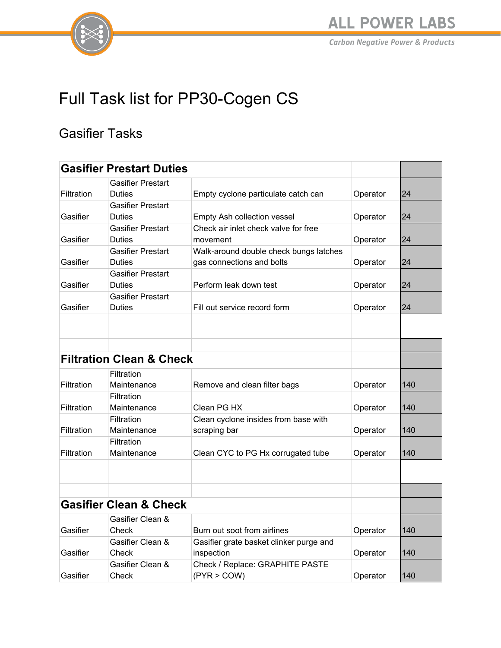

# Full Task list for PP30-Cogen CS

#### Gasifier Tasks

| <b>Gasifier Prestart Duties</b>   |                                     |                                         |          |     |
|-----------------------------------|-------------------------------------|-----------------------------------------|----------|-----|
|                                   | <b>Gasifier Prestart</b>            |                                         |          |     |
| Filtration                        | <b>Duties</b>                       | Empty cyclone particulate catch can     | Operator | 24  |
|                                   | <b>Gasifier Prestart</b>            |                                         |          |     |
| Gasifier                          | <b>Duties</b>                       | Empty Ash collection vessel             | Operator | 24  |
|                                   | <b>Gasifier Prestart</b>            | Check air inlet check valve for free    |          |     |
| Gasifier                          | <b>Duties</b>                       | movement                                | Operator | 24  |
|                                   | <b>Gasifier Prestart</b>            | Walk-around double check bungs latches  |          |     |
| Gasifier                          | <b>Duties</b>                       | gas connections and bolts               | Operator | 24  |
|                                   | <b>Gasifier Prestart</b>            |                                         |          |     |
| Gasifier                          | <b>Duties</b>                       | Perform leak down test                  | Operator | 24  |
|                                   | <b>Gasifier Prestart</b>            |                                         |          |     |
| Gasifier                          | <b>Duties</b>                       | Fill out service record form            | Operator | 24  |
|                                   |                                     |                                         |          |     |
|                                   |                                     |                                         |          |     |
|                                   | <b>Filtration Clean &amp; Check</b> |                                         |          |     |
|                                   | Filtration                          |                                         |          |     |
| Filtration                        | Maintenance                         | Remove and clean filter bags            | Operator | 140 |
|                                   | Filtration                          |                                         |          |     |
| Filtration                        | Maintenance                         | Clean PG HX                             | Operator | 140 |
|                                   | Filtration                          | Clean cyclone insides from base with    |          |     |
| Filtration                        | Maintenance                         | scraping bar                            | Operator | 140 |
|                                   | Filtration                          |                                         |          |     |
| Filtration                        | Maintenance                         | Clean CYC to PG Hx corrugated tube      | Operator | 140 |
|                                   |                                     |                                         |          |     |
|                                   |                                     |                                         |          |     |
| <b>Gasifier Clean &amp; Check</b> |                                     |                                         |          |     |
|                                   | Gasifier Clean &                    |                                         |          |     |
| Gasifier                          | Check                               | Burn out soot from airlines             | Operator | 140 |
|                                   | Gasifier Clean &                    | Gasifier grate basket clinker purge and |          |     |
| Gasifier                          | Check                               | inspection                              | Operator | 140 |
|                                   | Gasifier Clean &                    | Check / Replace: GRAPHITE PASTE         |          |     |
| Gasifier                          | Check                               | (PYR > COW)                             | Operator | 140 |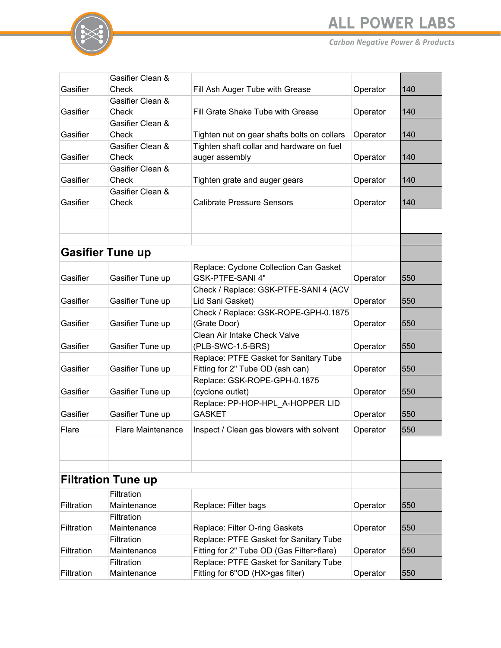



|                         | Gasifier Clean &          |                                                   |          |     |
|-------------------------|---------------------------|---------------------------------------------------|----------|-----|
| Gasifier                | Check                     | Fill Ash Auger Tube with Grease                   | Operator | 140 |
|                         | Gasifier Clean &          |                                                   |          |     |
| Gasifier                | Check                     | Fill Grate Shake Tube with Grease                 | Operator | 140 |
|                         | Gasifier Clean &          |                                                   |          |     |
| Gasifier                | Check                     | Tighten nut on gear shafts bolts on collars       | Operator | 140 |
|                         | Gasifier Clean &          | Tighten shaft collar and hardware on fuel         |          |     |
| Gasifier                | Check                     | auger assembly                                    | Operator | 140 |
|                         | Gasifier Clean &          |                                                   |          |     |
| Gasifier                | Check                     | Tighten grate and auger gears                     | Operator | 140 |
|                         | Gasifier Clean &          |                                                   |          |     |
| Gasifier                | Check                     | <b>Calibrate Pressure Sensors</b>                 | Operator | 140 |
|                         |                           |                                                   |          |     |
|                         |                           |                                                   |          |     |
|                         |                           |                                                   |          |     |
| <b>Gasifier Tune up</b> |                           |                                                   |          |     |
|                         |                           | Replace: Cyclone Collection Can Gasket            |          |     |
| Gasifier                | Gasifier Tune up          | GSK-PTFE-SANI 4"                                  | Operator | 550 |
|                         |                           | Check / Replace: GSK-PTFE-SANI 4 (ACV             |          |     |
| Gasifier                | Gasifier Tune up          | Lid Sani Gasket)                                  | Operator | 550 |
|                         |                           | Check / Replace: GSK-ROPE-GPH-0.1875              |          |     |
| Gasifier                | Gasifier Tune up          | (Grate Door)                                      | Operator | 550 |
|                         |                           | Clean Air Intake Check Valve                      |          |     |
| Gasifier                | Gasifier Tune up          | (PLB-SWC-1.5-BRS)                                 | Operator | 550 |
|                         |                           | Replace: PTFE Gasket for Sanitary Tube            |          |     |
| Gasifier                | Gasifier Tune up          | Fitting for 2" Tube OD (ash can)                  | Operator | 550 |
|                         |                           | Replace: GSK-ROPE-GPH-0.1875                      |          |     |
| Gasifier                | Gasifier Tune up          | (cyclone outlet)                                  | Operator | 550 |
| Gasifier                |                           | Replace: PP-HOP-HPL_A-HOPPER LID<br><b>GASKET</b> |          | 550 |
|                         | Gasifier Tune up          |                                                   | Operator |     |
| Flare                   | <b>Flare Maintenance</b>  | Inspect / Clean gas blowers with solvent          | Operator | 550 |
|                         |                           |                                                   |          |     |
|                         |                           |                                                   |          |     |
|                         |                           |                                                   |          |     |
|                         | <b>Filtration Tune up</b> |                                                   |          |     |
|                         | Filtration                |                                                   |          |     |
| Filtration              | Maintenance               | Replace: Filter bags                              | Operator | 550 |
|                         | Filtration                |                                                   |          |     |
| Filtration              | Maintenance               | Replace: Filter O-ring Gaskets                    | Operator | 550 |
|                         | Filtration                | Replace: PTFE Gasket for Sanitary Tube            |          |     |
| Filtration              | Maintenance               | Fitting for 2" Tube OD (Gas Filter>flare)         | Operator | 550 |
|                         | Filtration                | Replace: PTFE Gasket for Sanitary Tube            |          |     |
| Filtration              | Maintenance               | Fitting for 6"OD (HX>gas filter)                  | Operator | 550 |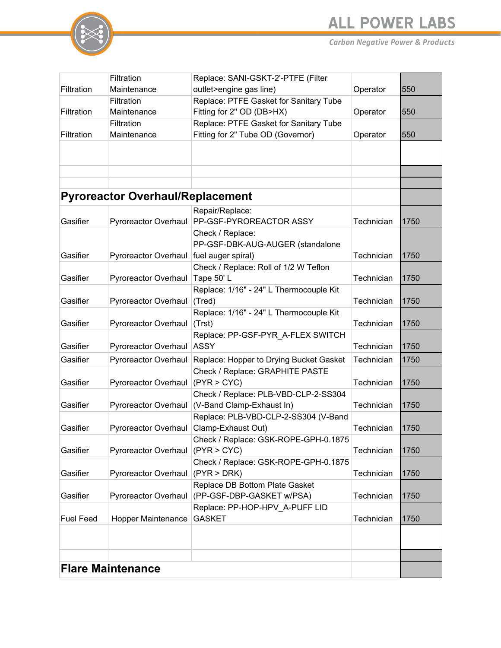

|                          | Filtration                              | Replace: SANI-GSKT-2'-PTFE (Filter                          |            |      |
|--------------------------|-----------------------------------------|-------------------------------------------------------------|------------|------|
| Filtration               | Maintenance                             | outlet>engine gas line)                                     | Operator   | 550  |
|                          | Filtration                              | Replace: PTFE Gasket for Sanitary Tube                      |            |      |
| Filtration               | Maintenance                             | Fitting for 2" OD (DB>HX)                                   | Operator   | 550  |
|                          | Filtration                              | Replace: PTFE Gasket for Sanitary Tube                      |            |      |
| Filtration               | Maintenance                             | Fitting for 2" Tube OD (Governor)                           | Operator   | 550  |
|                          |                                         |                                                             |            |      |
|                          |                                         |                                                             |            |      |
|                          |                                         |                                                             |            |      |
|                          |                                         |                                                             |            |      |
|                          | <b>Pyroreactor Overhaul/Replacement</b> |                                                             |            |      |
|                          |                                         | Repair/Replace:                                             |            |      |
| Gasifier                 | Pyroreactor Overhaul                    | PP-GSF-PYROREACTOR ASSY                                     | Technician | 1750 |
|                          |                                         | Check / Replace:                                            |            |      |
|                          |                                         | PP-GSF-DBK-AUG-AUGER (standalone                            |            |      |
| Gasifier                 | <b>Pyroreactor Overhaul</b>             | fuel auger spiral)                                          | Technician | 1750 |
|                          |                                         | Check / Replace: Roll of 1/2 W Teflon                       |            |      |
| Gasifier                 | Pyroreactor Overhaul                    | Tape 50'L                                                   | Technician | 1750 |
| Gasifier                 | Pyroreactor Overhaul                    | Replace: 1/16" - 24" L Thermocouple Kit<br>(Tred)           | Technician | 1750 |
|                          |                                         | Replace: 1/16" - 24" L Thermocouple Kit                     |            |      |
| Gasifier                 | Pyroreactor Overhaul                    | (Trst)                                                      | Technician | 1750 |
|                          |                                         | Replace: PP-GSF-PYR_A-FLEX SWITCH                           |            |      |
| Gasifier                 | Pyroreactor Overhaul ASSY               |                                                             | Technician | 1750 |
| Gasifier                 | Pyroreactor Overhaul                    | Replace: Hopper to Drying Bucket Gasket                     | Technician | 1750 |
|                          |                                         | Check / Replace: GRAPHITE PASTE                             |            |      |
| Gasifier                 | Pyroreactor Overhaul                    | (PYR > CYC)                                                 | Technician | 1750 |
|                          |                                         | Check / Replace: PLB-VBD-CLP-2-SS304                        |            |      |
| Gasifier                 |                                         | Pyroreactor Overhaul (V-Band Clamp-Exhaust In)              | Technician | 1750 |
|                          |                                         | Replace: PLB-VBD-CLP-2-SS304 (V-Band                        |            |      |
| Gasifier                 | Pyroreactor Overhaul                    | Clamp-Exhaust Out)                                          | Technician | 1750 |
|                          |                                         | Check / Replace: GSK-ROPE-GPH-0.1875                        |            |      |
| Gasifier                 | <b>Pyroreactor Overhaul</b>             | (PYR > CYC)                                                 | Technician | 1750 |
|                          |                                         | Check / Replace: GSK-ROPE-GPH-0.1875                        |            |      |
| Gasifier                 | Pyroreactor Overhaul (PYR > DRK)        |                                                             | Technician | 1750 |
| Gasifier                 |                                         | Replace DB Bottom Plate Gasket                              |            |      |
|                          | Pyroreactor Overhaul                    | (PP-GSF-DBP-GASKET w/PSA)<br>Replace: PP-HOP-HPV A-PUFF LID | Technician | 1750 |
| <b>Fuel Feed</b>         | Hopper Maintenance                      | <b>GASKET</b>                                               | Technician | 1750 |
|                          |                                         |                                                             |            |      |
|                          |                                         |                                                             |            |      |
|                          |                                         |                                                             |            |      |
|                          |                                         |                                                             |            |      |
| <b>Flare Maintenance</b> |                                         |                                                             |            |      |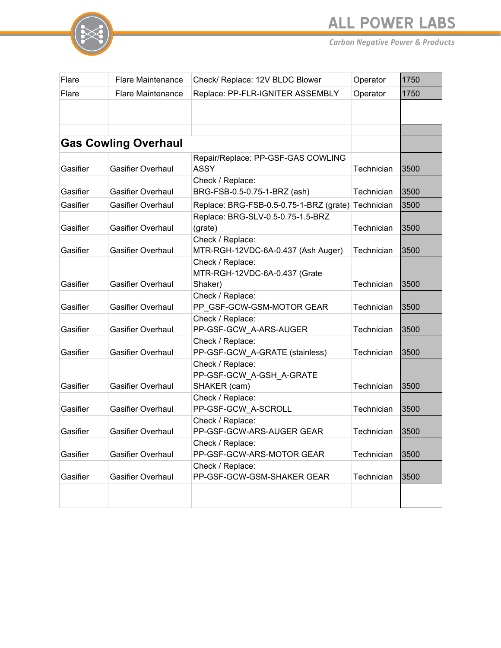

| Flare    | <b>Flare Maintenance</b>    | Check/ Replace: 12V BLDC Blower                        | Operator   | 1750 |
|----------|-----------------------------|--------------------------------------------------------|------------|------|
| Flare    | <b>Flare Maintenance</b>    | Replace: PP-FLR-IGNITER ASSEMBLY                       | Operator   | 1750 |
|          |                             |                                                        |            |      |
|          |                             |                                                        |            |      |
|          |                             |                                                        |            |      |
|          | <b>Gas Cowling Overhaul</b> |                                                        |            |      |
|          |                             | Repair/Replace: PP-GSF-GAS COWLING                     |            |      |
| Gasifier | <b>Gasifier Overhaul</b>    | <b>ASSY</b>                                            | Technician | 3500 |
|          |                             | Check / Replace:                                       |            |      |
| Gasifier | <b>Gasifier Overhaul</b>    | BRG-FSB-0.5-0.75-1-BRZ (ash)                           | Technician | 3500 |
| Gasifier | <b>Gasifier Overhaul</b>    | Replace: BRG-FSB-0.5-0.75-1-BRZ (grate)                | Technician | 3500 |
|          |                             | Replace: BRG-SLV-0.5-0.75-1.5-BRZ                      |            |      |
| Gasifier | <b>Gasifier Overhaul</b>    | (grate)                                                | Technician | 3500 |
| Gasifier | <b>Gasifier Overhaul</b>    | Check / Replace:<br>MTR-RGH-12VDC-6A-0.437 (Ash Auger) | Technician | 3500 |
|          |                             | Check / Replace:                                       |            |      |
|          |                             | MTR-RGH-12VDC-6A-0.437 (Grate                          |            |      |
| Gasifier | <b>Gasifier Overhaul</b>    | Shaker)                                                | Technician | 3500 |
|          |                             | Check / Replace:                                       |            |      |
| Gasifier | <b>Gasifier Overhaul</b>    | PP GSF-GCW-GSM-MOTOR GEAR                              | Technician | 3500 |
|          |                             | Check / Replace:                                       |            |      |
| Gasifier | <b>Gasifier Overhaul</b>    | PP-GSF-GCW_A-ARS-AUGER                                 | Technician | 3500 |
|          |                             | Check / Replace:                                       |            |      |
| Gasifier | <b>Gasifier Overhaul</b>    | PP-GSF-GCW_A-GRATE (stainless)                         | Technician | 3500 |
|          |                             | Check / Replace:                                       |            |      |
| Gasifier | <b>Gasifier Overhaul</b>    | PP-GSF-GCW A-GSH A-GRATE<br>SHAKER (cam)               | Technician | 3500 |
|          |                             | Check / Replace:                                       |            |      |
| Gasifier | <b>Gasifier Overhaul</b>    | PP-GSF-GCW A-SCROLL                                    | Technician | 3500 |
|          |                             | Check / Replace:                                       |            |      |
| Gasifier | <b>Gasifier Overhaul</b>    | PP-GSF-GCW-ARS-AUGER GEAR                              | Technician | 3500 |
|          |                             | Check / Replace:                                       |            |      |
| Gasifier | <b>Gasifier Overhaul</b>    | PP-GSF-GCW-ARS-MOTOR GEAR                              | Technician | 3500 |
|          |                             | Check / Replace:                                       |            |      |
| Gasifier | <b>Gasifier Overhaul</b>    | PP-GSF-GCW-GSM-SHAKER GEAR                             | Technician | 3500 |
|          |                             |                                                        |            |      |
|          |                             |                                                        |            |      |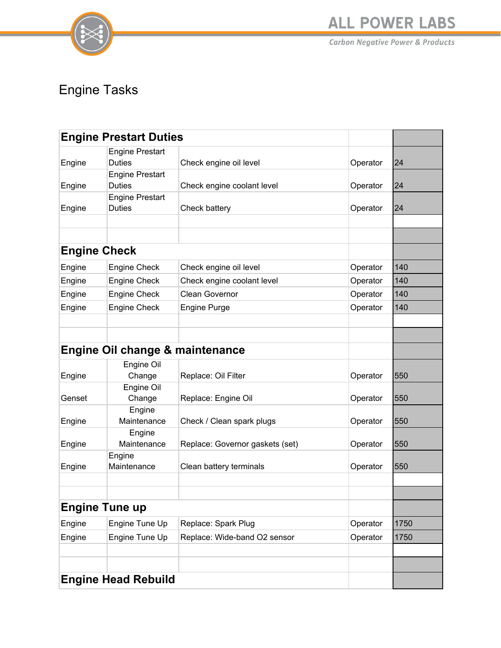

**ALL POWER LABS** 

**Carbon Negative Power & Products** 

### Engine Tasks

| <b>Engine Prestart Duties</b> |                                            |                                 |          |      |
|-------------------------------|--------------------------------------------|---------------------------------|----------|------|
| Engine                        | <b>Engine Prestart</b><br><b>Duties</b>    | Check engine oil level          | Operator | 24   |
| Engine                        | <b>Engine Prestart</b><br><b>Duties</b>    | Check engine coolant level      | Operator | 24   |
| Engine                        | <b>Engine Prestart</b><br><b>Duties</b>    | Check battery                   | Operator | 24   |
|                               |                                            |                                 |          |      |
| <b>Engine Check</b>           |                                            |                                 |          |      |
| Engine                        | <b>Engine Check</b>                        | Check engine oil level          | Operator | 140  |
| Engine                        | <b>Engine Check</b>                        | Check engine coolant level      | Operator | 140  |
| Engine                        | <b>Engine Check</b>                        | <b>Clean Governor</b>           | Operator | 140  |
| Engine                        | <b>Engine Check</b>                        | <b>Engine Purge</b>             | Operator | 140  |
|                               |                                            |                                 |          |      |
|                               | <b>Engine Oil change &amp; maintenance</b> |                                 |          |      |
| Engine                        | Engine Oil<br>Change                       | Replace: Oil Filter             | Operator | 550  |
| Genset                        | Engine Oil<br>Change                       | Replace: Engine Oil             | Operator | 550  |
| Engine                        | Engine<br>Maintenance                      | Check / Clean spark plugs       | Operator | 550  |
| Engine                        | Engine<br>Maintenance                      | Replace: Governor gaskets (set) | Operator | 550  |
| Engine                        | Engine<br>Maintenance                      | Clean battery terminals         | Operator | 550  |
|                               |                                            |                                 |          |      |
| <b>Engine Tune up</b>         |                                            |                                 |          |      |
| Engine                        | Engine Tune Up                             | Replace: Spark Plug             | Operator | 1750 |
| Engine                        | Engine Tune Up                             | Replace: Wide-band O2 sensor    | Operator | 1750 |
|                               |                                            |                                 |          |      |
| <b>Engine Head Rebuild</b>    |                                            |                                 |          |      |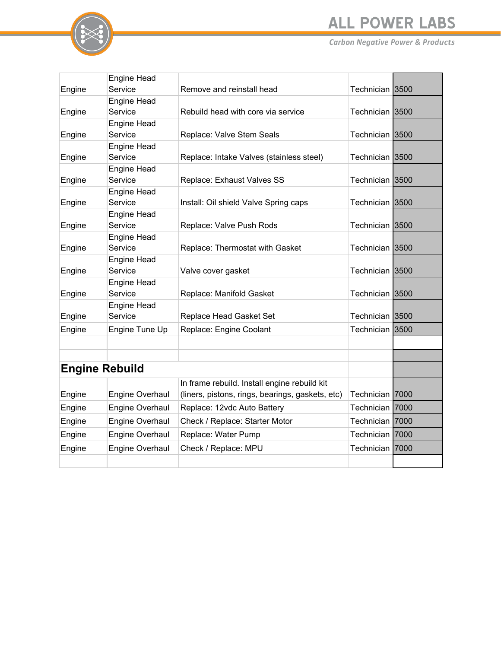## **ALL POWER LABS**



|                       | <b>Engine Head</b>            |                                                  |                 |      |
|-----------------------|-------------------------------|--------------------------------------------------|-----------------|------|
| Engine                | Service                       | Remove and reinstall head                        | Technician 3500 |      |
|                       | <b>Engine Head</b>            |                                                  |                 |      |
| Engine                | Service                       | Rebuild head with core via service               | Technician 3500 |      |
|                       | <b>Engine Head</b>            |                                                  |                 |      |
| Engine                | Service                       | Replace: Valve Stem Seals                        | Technician 3500 |      |
|                       | <b>Engine Head</b>            |                                                  |                 |      |
| Engine                | Service                       | Replace: Intake Valves (stainless steel)         | Technician 3500 |      |
|                       | Engine Head                   |                                                  |                 |      |
| Engine                | Service                       | Replace: Exhaust Valves SS                       | Technician 3500 |      |
|                       | Engine Head                   |                                                  |                 |      |
| Engine                | Service                       | Install: Oil shield Valve Spring caps            | Technician 3500 |      |
|                       | Engine Head                   |                                                  |                 |      |
| Engine                | Service                       | Replace: Valve Push Rods                         | Technician 3500 |      |
|                       | <b>Engine Head</b><br>Service |                                                  | Technician 3500 |      |
| Engine                | Engine Head                   | Replace: Thermostat with Gasket                  |                 |      |
| Engine                | Service                       | Valve cover gasket                               | Technician 3500 |      |
|                       | Engine Head                   |                                                  |                 |      |
| Engine                | Service                       | Replace: Manifold Gasket                         | Technician 3500 |      |
|                       | Engine Head                   |                                                  |                 |      |
| Engine                | Service                       | Replace Head Gasket Set                          | Technician 3500 |      |
| Engine                | Engine Tune Up                | Replace: Engine Coolant                          | Technician      | 3500 |
|                       |                               |                                                  |                 |      |
|                       |                               |                                                  |                 |      |
|                       |                               |                                                  |                 |      |
| <b>Engine Rebuild</b> |                               |                                                  |                 |      |
|                       |                               | In frame rebuild. Install engine rebuild kit     |                 |      |
| Engine                | Engine Overhaul               | (liners, pistons, rings, bearings, gaskets, etc) | Technician      | 7000 |
| Engine                | Engine Overhaul               | Replace: 12vdc Auto Battery                      | Technician      | 7000 |
| Engine                | Engine Overhaul               | Check / Replace: Starter Motor                   | Technician 7000 |      |
| Engine                | Engine Overhaul               | Replace: Water Pump                              | Technician      | 7000 |
| Engine                | Engine Overhaul               | Check / Replace: MPU                             | Technician l    | 7000 |
|                       |                               |                                                  |                 |      |
|                       |                               |                                                  |                 |      |